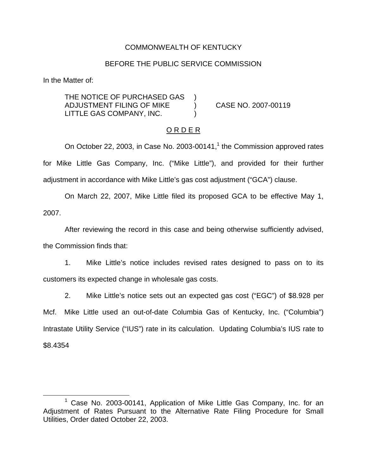### COMMONWEALTH OF KENTUCKY

### BEFORE THE PUBLIC SERVICE COMMISSION

In the Matter of:

THE NOTICE OF PURCHASED GAS ADJUSTMENT FILING OF MIKE ) CASE NO. 2007-00119 LITTLE GAS COMPANY, INC.

#### O R D E R

On October 22, 2003, in Case No. 2003-00141, $<sup>1</sup>$  the Commission approved rates</sup> for Mike Little Gas Company, Inc. ("Mike Little"), and provided for their further adjustment in accordance with Mike Little's gas cost adjustment ("GCA") clause.

On March 22, 2007, Mike Little filed its proposed GCA to be effective May 1, 2007.

After reviewing the record in this case and being otherwise sufficiently advised, the Commission finds that:

1. Mike Little's notice includes revised rates designed to pass on to its customers its expected change in wholesale gas costs.

2. Mike Little's notice sets out an expected gas cost ("EGC") of \$8.928 per Mcf. Mike Little used an out-of-date Columbia Gas of Kentucky, Inc. ("Columbia") Intrastate Utility Service ("IUS") rate in its calculation. Updating Columbia's IUS rate to \$8.4354

<sup>&</sup>lt;sup>1</sup> Case No. 2003-00141, Application of Mike Little Gas Company, Inc. for an Adjustment of Rates Pursuant to the Alternative Rate Filing Procedure for Small Utilities, Order dated October 22, 2003.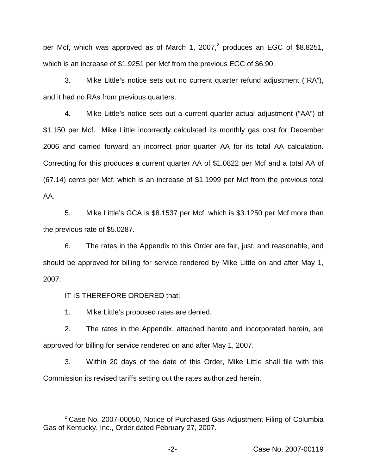per Mcf, which was approved as of March 1, 2007,<sup>2</sup> produces an EGC of \$8.8251, which is an increase of \$1.9251 per Mcf from the previous EGC of \$6.90.

3. Mike Little's notice sets out no current quarter refund adjustment ("RA"), and it had no RAs from previous quarters.

4. Mike Little's notice sets out a current quarter actual adjustment ("AA") of \$1.150 per Mcf. Mike Little incorrectly calculated its monthly gas cost for December 2006 and carried forward an incorrect prior quarter AA for its total AA calculation. Correcting for this produces a current quarter AA of \$1.0822 per Mcf and a total AA of (67.14) cents per Mcf, which is an increase of \$1.1999 per Mcf from the previous total AA.

5. Mike Little's GCA is \$8.1537 per Mcf, which is \$3.1250 per Mcf more than the previous rate of \$5.0287.

6. The rates in the Appendix to this Order are fair, just, and reasonable, and should be approved for billing for service rendered by Mike Little on and after May 1, 2007.

IT IS THEREFORE ORDERED that:

1. Mike Little's proposed rates are denied.

2. The rates in the Appendix, attached hereto and incorporated herein, are approved for billing for service rendered on and after May 1, 2007.

3. Within 20 days of the date of this Order, Mike Little shall file with this Commission its revised tariffs setting out the rates authorized herein.

<sup>&</sup>lt;sup>2</sup> Case No. 2007-00050, Notice of Purchased Gas Adjustment Filing of Columbia Gas of Kentucky, Inc., Order dated February 27, 2007.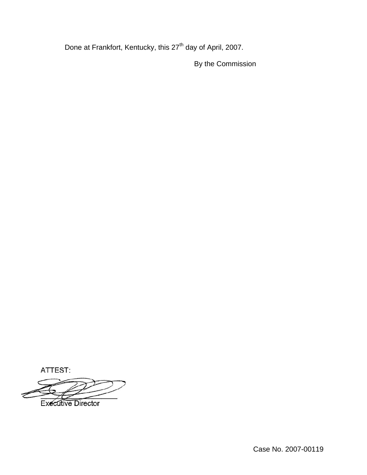Done at Frankfort, Kentucky, this 27<sup>th</sup> day of April, 2007.

By the Commission

ATTEST:

**Executive Director**